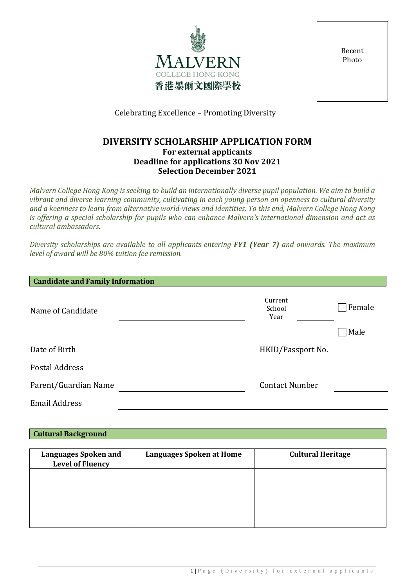

Recent Photo

Celebrating Excellence – Promoting Diversity

# **DIVERSITY SCHOLARSHIP APPLICATION FORM For external applicants Deadline for applications 30 Nov 2021 Selection December 2021**

*Malvern College Hong Kong is seeking to build an internationally diverse pupil population. We aim to build a vibrant and diverse learning community, cultivating in each young person an openness to cultural diversity and a keenness to learn from alternative world-views and identities. To this end, Malvern College Hong Kong is offering a special scholarship for pupils who can enhance Malvern's international dimension and act as cultural ambassadors.*

*Diversity scholarships are available to all applicants entering FY1 (Year 7) and onwards. The maximum level of award will be 80% tuition fee remission.*

| <b>Candidate and Family Information</b> |                           |        |
|-----------------------------------------|---------------------------|--------|
| Name of Candidate                       | Current<br>School<br>Year | Female |
|                                         |                           | Male   |
| Date of Birth                           | HKID/Passport No.         |        |
| Postal Address                          |                           |        |
| Parent/Guardian Name                    | <b>Contact Number</b>     |        |
| <b>Email Address</b>                    |                           |        |

| <b>Cultural Background</b> |
|----------------------------|
|----------------------------|

| <b>Languages Spoken and</b><br><b>Level of Fluency</b> | <b>Languages Spoken at Home</b> | <b>Cultural Heritage</b> |
|--------------------------------------------------------|---------------------------------|--------------------------|
|                                                        |                                 |                          |
|                                                        |                                 |                          |
|                                                        |                                 |                          |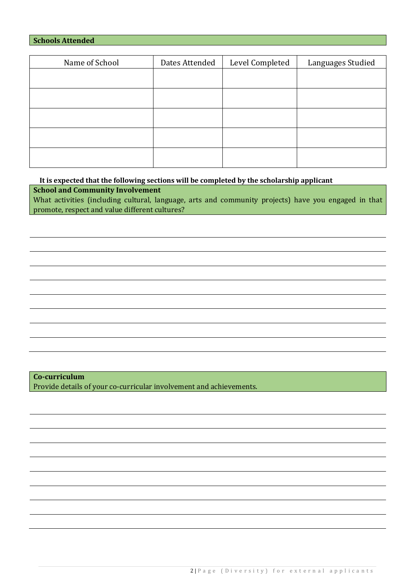# **Schools Attended**

| Name of School | Dates Attended | Level Completed | Languages Studied |
|----------------|----------------|-----------------|-------------------|
|                |                |                 |                   |
|                |                |                 |                   |
|                |                |                 |                   |
|                |                |                 |                   |
|                |                |                 |                   |
|                |                |                 |                   |

**It is expected that the following sections will be completed by the scholarship applicant**

**School and Community Involvement**

What activities (including cultural, language, arts and community projects) have you engaged in that promote, respect and value different cultures?

**Co-curriculum** Provide details of your co-curricular involvement and achievements.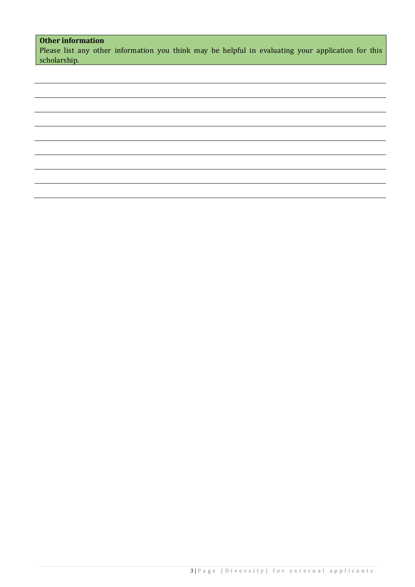# **Other information**

Please list any other information you think may be helpful in evaluating your application for this scholarship.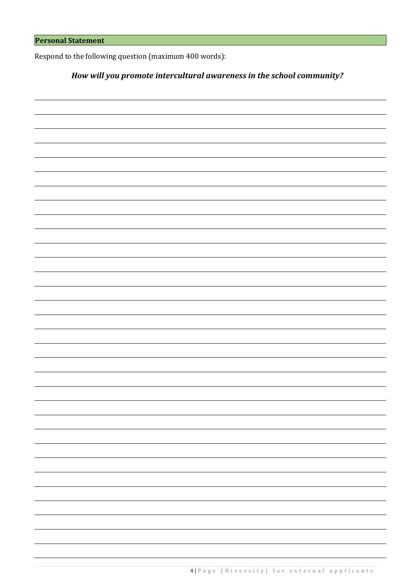Respond to the following question (maximum 400 words):

# *How will you promote intercultural awareness in the school community?*

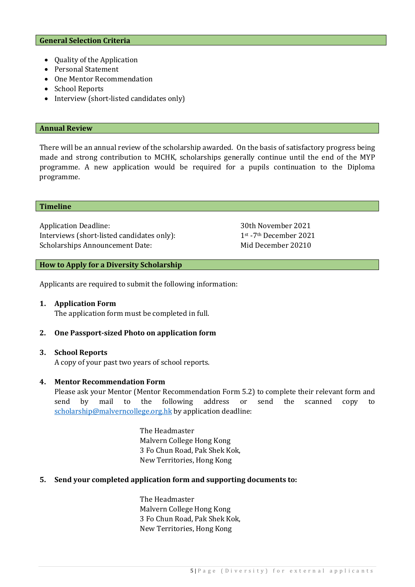#### **General Selection Criteria**

- Quality of the Application
- Personal Statement
- One Mentor Recommendation
- School Reports
- Interview (short-listed candidates only)

#### **Annual Review**

There will be an annual review of the scholarship awarded. On the basis of satisfactory progress being made and strong contribution to MCHK, scholarships generally continue until the end of the MYP programme. A new application would be required for a pupils continuation to the Diploma programme.

#### **Timeline**

Application Deadline: 30th November 2021<br>Interviews (short-listed candidates only):  $1^{st}$  -7<sup>th</sup> December 2021 Interviews (short-listed candidates only): 1st -7th December 2021<br>Scholarships Announcement Date: Mid December 20210 Scholarships Announcement Date:

#### **How to Apply for a Diversity Scholarship**

Applicants are required to submit the following information:

## **1. Application Form**

The application form must be completed in full.

## **2. One Passport-sized Photo on application form**

# **3. School Reports** A copy of your past two years of school reports.

## **4. Mentor Recommendation Form**

Please ask your Mentor (Mentor Recommendation Form 5.2) to complete their relevant form and<br>send by mail to the following address or send the scanned copy to send by mail to the following address or send the scanned copy to [scholarship@malverncollege.org.hk](mailto:scholarship@malverncollege.org.hk) by application deadline:

> The Headmaster Malvern College Hong Kong 3 Fo Chun Road, Pak Shek Kok, New Territories, Hong Kong

## **5. Send your completed application form and supporting documents to:**

The Headmaster Malvern College Hong Kong 3 Fo Chun Road, Pak Shek Kok, New Territories, Hong Kong